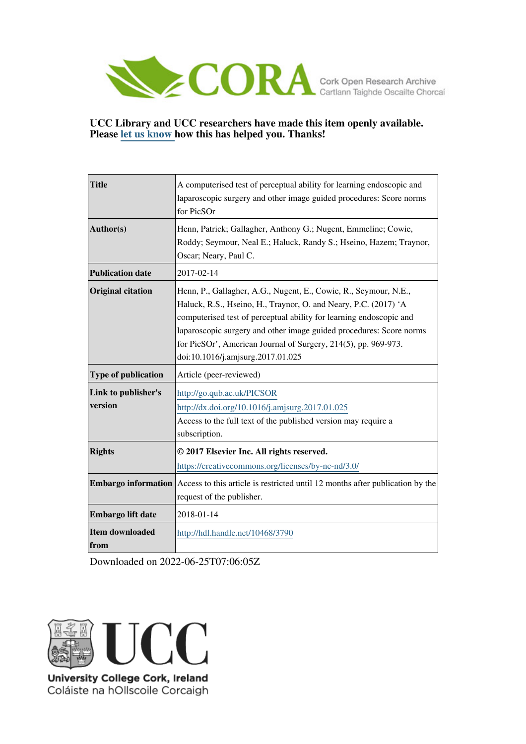

# **UCC Library and UCC researchers have made this item openly available. Please [let us know h](https://libguides.ucc.ie/openaccess/impact?suffix=3790&title=A computerised test of perceptual ability for learning endoscopic and laparoscopic surgery and other image guided procedures: Score norms for PicSOr)ow this has helped you. Thanks!**

| <b>Title</b>                   | A computerised test of perceptual ability for learning endoscopic and<br>laparoscopic surgery and other image guided procedures: Score norms<br>for PicSOr                                                                                                                                                                                                                               |
|--------------------------------|------------------------------------------------------------------------------------------------------------------------------------------------------------------------------------------------------------------------------------------------------------------------------------------------------------------------------------------------------------------------------------------|
| Author(s)                      | Henn, Patrick; Gallagher, Anthony G.; Nugent, Emmeline; Cowie,<br>Roddy; Seymour, Neal E.; Haluck, Randy S.; Hseino, Hazem; Traynor,<br>Oscar; Neary, Paul C.                                                                                                                                                                                                                            |
| <b>Publication date</b>        | 2017-02-14                                                                                                                                                                                                                                                                                                                                                                               |
| <b>Original citation</b>       | Henn, P., Gallagher, A.G., Nugent, E., Cowie, R., Seymour, N.E.,<br>Haluck, R.S., Hseino, H., Traynor, O. and Neary, P.C. (2017) 'A<br>computerised test of perceptual ability for learning endoscopic and<br>laparoscopic surgery and other image guided procedures: Score norms<br>for PicSOr', American Journal of Surgery, 214(5), pp. 969-973.<br>doi:10.1016/j.amjsurg.2017.01.025 |
| <b>Type of publication</b>     | Article (peer-reviewed)                                                                                                                                                                                                                                                                                                                                                                  |
| Link to publisher's<br>version | http://go.qub.ac.uk/PICSOR<br>http://dx.doi.org/10.1016/j.amjsurg.2017.01.025<br>Access to the full text of the published version may require a<br>subscription.                                                                                                                                                                                                                         |
| <b>Rights</b>                  | © 2017 Elsevier Inc. All rights reserved.<br>https://creativecommons.org/licenses/by-nc-nd/3.0/                                                                                                                                                                                                                                                                                          |
| <b>Embargo information</b>     | Access to this article is restricted until 12 months after publication by the<br>request of the publisher.                                                                                                                                                                                                                                                                               |
| Embargo lift date              | 2018-01-14                                                                                                                                                                                                                                                                                                                                                                               |
|                                |                                                                                                                                                                                                                                                                                                                                                                                          |

Downloaded on 2022-06-25T07:06:05Z



Coláiste na hOllscoile Corcaigh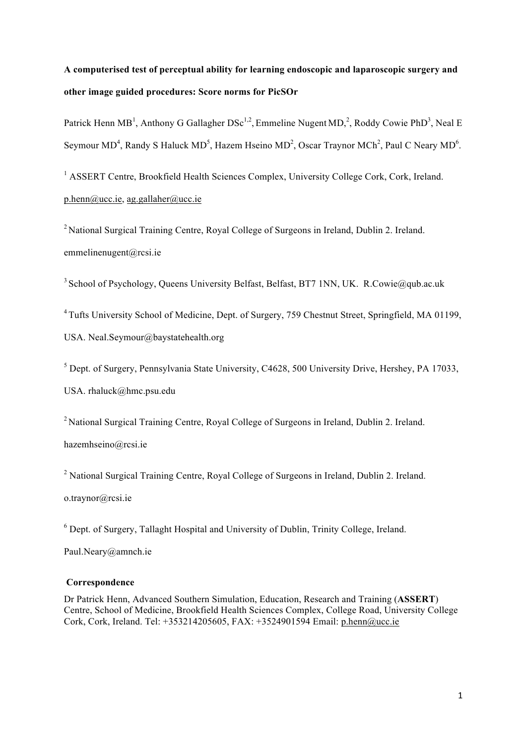# **A computerised test of perceptual ability for learning endoscopic and laparoscopic surgery and other image guided procedures: Score norms for PicSOr**

Patrick Henn MB<sup>1</sup>, Anthony G Gallagher  $DSc^{1,2}$ , Emmeline Nugent MD,<sup>2</sup>, Roddy Cowie PhD<sup>3</sup>, Neal E Seymour MD<sup>4</sup>, Randy S Haluck MD<sup>5</sup>, Hazem Hseino MD<sup>2</sup>, Oscar Traynor MCh<sup>2</sup>, Paul C Neary MD<sup>6</sup>.

<sup>1</sup> ASSERT Centre, Brookfield Health Sciences Complex, University College Cork, Cork, Ireland. p.henn@ucc.ie, ag.gallaher@ucc.ie

<sup>2</sup> National Surgical Training Centre, Royal College of Surgeons in Ireland, Dublin 2. Ireland. emmelinenugent@rcsi.ie

<sup>3</sup> School of Psychology, Queens University Belfast, Belfast, BT7 1NN, UK. R.Cowie@qub.ac.uk

4 Tufts University School of Medicine, Dept. of Surgery, 759 Chestnut Street, Springfield, MA 01199,

USA. Neal.Seymour@baystatehealth.org

<sup>5</sup> Dept. of Surgery, Pennsylvania State University, C4628, 500 University Drive, Hershey, PA 17033, USA. rhaluck@hmc.psu.edu

2 National Surgical Training Centre, Royal College of Surgeons in Ireland, Dublin 2. Ireland. hazemhseino@rcsi.ie

<sup>2</sup> National Surgical Training Centre, Royal College of Surgeons in Ireland, Dublin 2. Ireland.

o.traynor@rcsi.ie

 $6$  Dept. of Surgery, Tallaght Hospital and University of Dublin, Trinity College, Ireland.

Paul.Neary@amnch.ie

## **Correspondence**

Dr Patrick Henn, Advanced Southern Simulation, Education, Research and Training (**ASSERT**) Centre, School of Medicine, Brookfield Health Sciences Complex, College Road, University College Cork, Cork, Ireland. Tel: +353214205605, FAX: +3524901594 Email: p.henn@ucc.ie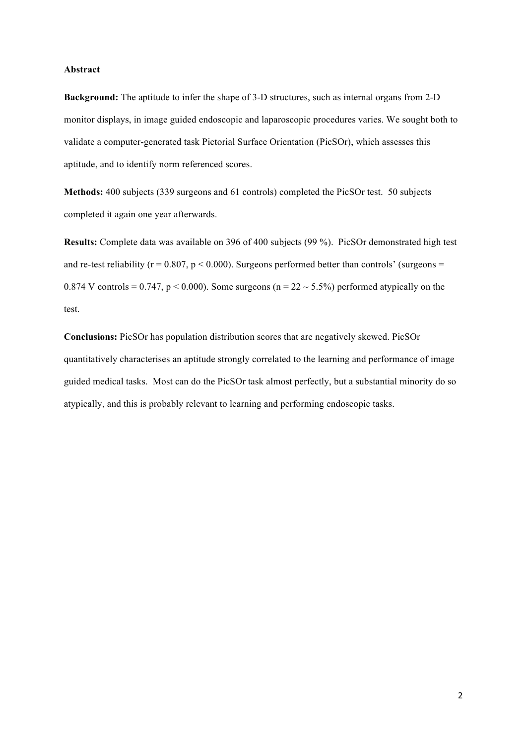#### **Abstract**

**Background:** The aptitude to infer the shape of 3-D structures, such as internal organs from 2-D monitor displays, in image guided endoscopic and laparoscopic procedures varies. We sought both to validate a computer-generated task Pictorial Surface Orientation (PicSOr), which assesses this aptitude, and to identify norm referenced scores.

**Methods:** 400 subjects (339 surgeons and 61 controls) completed the PicSOr test. 50 subjects completed it again one year afterwards.

**Results:** Complete data was available on 396 of 400 subjects (99 %). PicSOr demonstrated high test and re-test reliability ( $r = 0.807$ ,  $p < 0.000$ ). Surgeons performed better than controls' (surgeons = 0.874 V controls = 0.747,  $p < 0.000$ ). Some surgeons ( $n = 22 \sim 5.5\%$ ) performed atypically on the test.

**Conclusions:** PicSOr has population distribution scores that are negatively skewed. PicSOr quantitatively characterises an aptitude strongly correlated to the learning and performance of image guided medical tasks. Most can do the PicSOr task almost perfectly, but a substantial minority do so atypically, and this is probably relevant to learning and performing endoscopic tasks.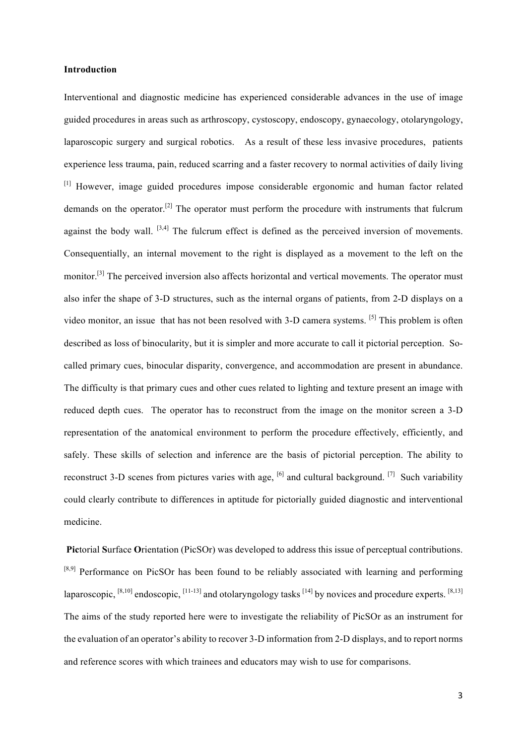#### **Introduction**

Interventional and diagnostic medicine has experienced considerable advances in the use of image guided procedures in areas such as arthroscopy, cystoscopy, endoscopy, gynaecology, otolaryngology, laparoscopic surgery and surgical robotics. As a result of these less invasive procedures, patients experience less trauma, pain, reduced scarring and a faster recovery to normal activities of daily living [1] However, image guided procedures impose considerable ergonomic and human factor related demands on the operator.[2] The operator must perform the procedure with instruments that fulcrum against the body wall.  $[3,4]$  The fulcrum effect is defined as the perceived inversion of movements. Consequentially, an internal movement to the right is displayed as a movement to the left on the monitor.<sup>[3]</sup> The perceived inversion also affects horizontal and vertical movements. The operator must also infer the shape of 3-D structures, such as the internal organs of patients, from 2-D displays on a video monitor, an issue that has not been resolved with 3-D camera systems. [5] This problem is often described as loss of binocularity, but it is simpler and more accurate to call it pictorial perception. Socalled primary cues, binocular disparity, convergence, and accommodation are present in abundance. The difficulty is that primary cues and other cues related to lighting and texture present an image with reduced depth cues. The operator has to reconstruct from the image on the monitor screen a 3-D representation of the anatomical environment to perform the procedure effectively, efficiently, and safely. These skills of selection and inference are the basis of pictorial perception. The ability to reconstruct 3-D scenes from pictures varies with age,  $\left[6\right]$  and cultural background.  $\left[7\right]$  Such variability could clearly contribute to differences in aptitude for pictorially guided diagnostic and interventional medicine.

**Pic**torial **S**urface **O**rientation (PicSOr) was developed to address this issue of perceptual contributions. <sup>[8,9]</sup> Performance on PicSOr has been found to be reliably associated with learning and performing laparoscopic,  $[8,10]$  endoscopic,  $[11-13]$  and otolaryngology tasks  $[14]$  by novices and procedure experts.  $[8,13]$ The aims of the study reported here were to investigate the reliability of PicSOr as an instrument for the evaluation of an operator's ability to recover 3-D information from 2-D displays, and to report norms and reference scores with which trainees and educators may wish to use for comparisons.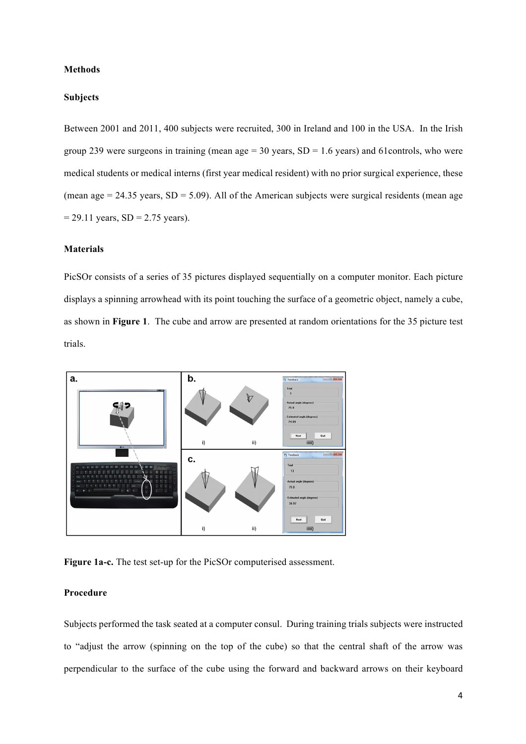#### **Methods**

#### **Subjects**

Between 2001 and 2011, 400 subjects were recruited, 300 in Ireland and 100 in the USA. In the Irish group 239 were surgeons in training (mean age =  $30$  years, SD = 1.6 years) and 61 controls, who were medical students or medical interns (first year medical resident) with no prior surgical experience, these (mean age  $= 24.35$  years, SD  $= 5.09$ ). All of the American subjects were surgical residents (mean age  $= 29.11$  years, SD  $= 2.75$  years).

## **Materials**

PicSOr consists of a series of 35 pictures displayed sequentially on a computer monitor. Each picture displays a spinning arrowhead with its point touching the surface of a geometric object, namely a cube, as shown in **Figure 1**. The cube and arrow are presented at random orientations for the 35 picture test trials.



**Figure 1a-c.** The test set-up for the PicSOr computerised assessment.

## **Procedure**

Subjects performed the task seated at a computer consul. During training trials subjects were instructed to "adjust the arrow (spinning on the top of the cube) so that the central shaft of the arrow was perpendicular to the surface of the cube using the forward and backward arrows on their keyboard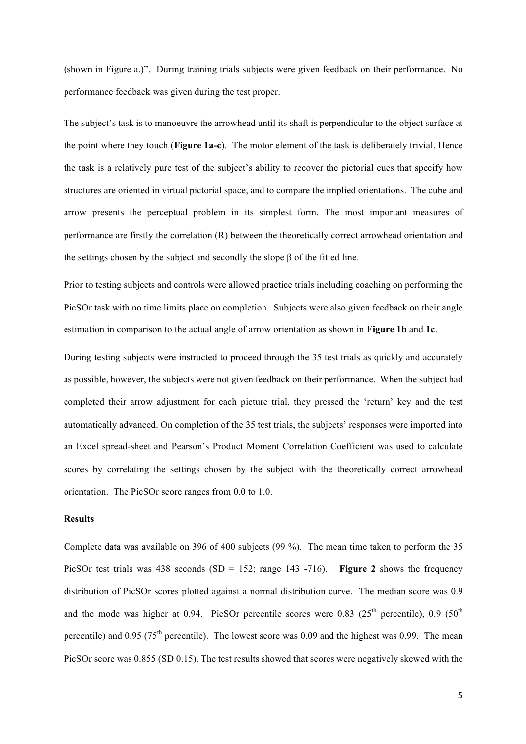(shown in Figure a.)". During training trials subjects were given feedback on their performance. No performance feedback was given during the test proper.

The subject's task is to manoeuvre the arrowhead until its shaft is perpendicular to the object surface at the point where they touch (**Figure 1a-c**). The motor element of the task is deliberately trivial. Hence the task is a relatively pure test of the subject's ability to recover the pictorial cues that specify how structures are oriented in virtual pictorial space, and to compare the implied orientations. The cube and arrow presents the perceptual problem in its simplest form. The most important measures of performance are firstly the correlation (R) between the theoretically correct arrowhead orientation and the settings chosen by the subject and secondly the slope β of the fitted line.

Prior to testing subjects and controls were allowed practice trials including coaching on performing the PicSOr task with no time limits place on completion. Subjects were also given feedback on their angle estimation in comparison to the actual angle of arrow orientation as shown in **Figure 1b** and **1c**.

During testing subjects were instructed to proceed through the 35 test trials as quickly and accurately as possible, however, the subjects were not given feedback on their performance. When the subject had completed their arrow adjustment for each picture trial, they pressed the 'return' key and the test automatically advanced. On completion of the 35 test trials, the subjects' responses were imported into an Excel spread-sheet and Pearson's Product Moment Correlation Coefficient was used to calculate scores by correlating the settings chosen by the subject with the theoretically correct arrowhead orientation. The PicSOr score ranges from 0.0 to 1.0.

## **Results**

Complete data was available on 396 of 400 subjects (99 %). The mean time taken to perform the 35 PicSOr test trials was 438 seconds (SD = 152; range 143 -716). **Figure 2** shows the frequency distribution of PicSOr scores plotted against a normal distribution curve. The median score was 0.9 and the mode was higher at 0.94. PicSOr percentile scores were 0.83 ( $25<sup>th</sup>$  percentile), 0.9 ( $50<sup>th</sup>$ percentile) and 0.95 ( $75<sup>th</sup>$  percentile). The lowest score was 0.09 and the highest was 0.99. The mean PicSOr score was 0.855 (SD 0.15). The test results showed that scores were negatively skewed with the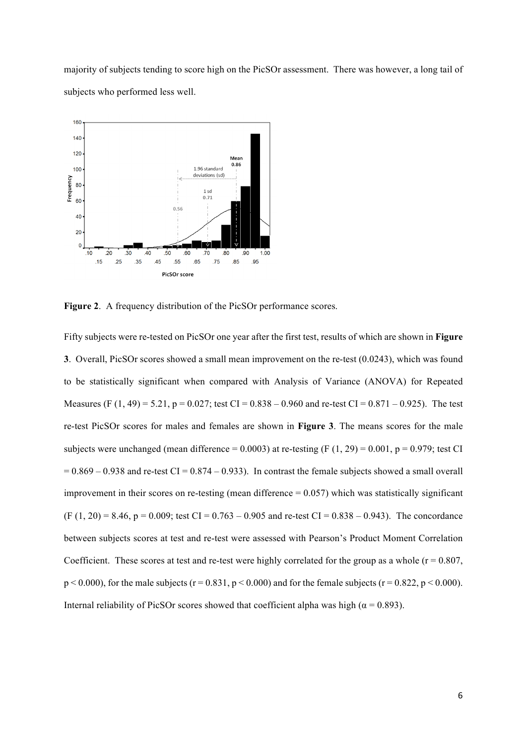majority of subjects tending to score high on the PicSOr assessment. There was however, a long tail of subjects who performed less well.



**Figure 2**. A frequency distribution of the PicSOr performance scores.

Fifty subjects were re-tested on PicSOr one year after the first test, results of which are shown in **Figure 3**. Overall, PicSOr scores showed a small mean improvement on the re-test (0.0243), which was found to be statistically significant when compared with Analysis of Variance (ANOVA) for Repeated Measures (F (1, 49) = 5.21, p = 0.027; test CI = 0.838 – 0.960 and re-test CI = 0.871 – 0.925). The test re-test PicSOr scores for males and females are shown in **Figure 3**. The means scores for the male subjects were unchanged (mean difference =  $0.0003$ ) at re-testing (F (1, 29) =  $0.001$ , p =  $0.979$ ; test CI  $= 0.869 - 0.938$  and re-test CI = 0.874 – 0.933). In contrast the female subjects showed a small overall improvement in their scores on re-testing (mean difference  $= 0.057$ ) which was statistically significant  $(F (1, 20) = 8.46, p = 0.009$ ; test  $CI = 0.763 - 0.905$  and re-test  $CI = 0.838 - 0.943$ ). The concordance between subjects scores at test and re-test were assessed with Pearson's Product Moment Correlation Coefficient. These scores at test and re-test were highly correlated for the group as a whole ( $r = 0.807$ ,  $p < 0.000$ , for the male subjects (r = 0.831, p < 0.000) and for the female subjects (r = 0.822, p < 0.000). Internal reliability of PicSOr scores showed that coefficient alpha was high ( $\alpha$  = 0.893).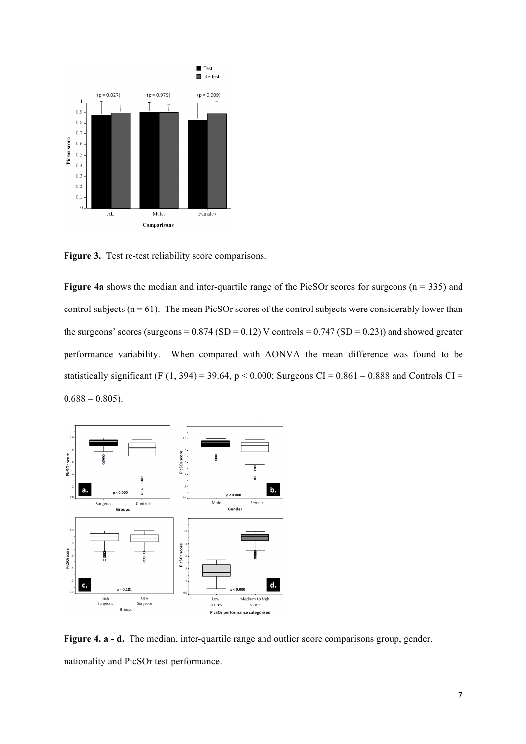

Figure 3. Test re-test reliability score comparisons.

**Figure 4a** shows the median and inter-quartile range of the PicSOr scores for surgeons ( $n = 335$ ) and control subjects ( $n = 61$ ). The mean PicSOr scores of the control subjects were considerably lower than the surgeons' scores (surgeons =  $0.874$  (SD =  $0.12$ ) V controls =  $0.747$  (SD =  $0.23$ )) and showed greater performance variability. When compared with AONVA the mean difference was found to be statistically significant (F (1, 394) = 39.64, p < 0.000; Surgeons CI =  $0.861 - 0.888$  and Controls CI =  $0.688 - 0.805$ ).



**Figure 4. a - d.** The median, inter-quartile range and outlier score comparisons group, gender, nationality and PicSOr test performance.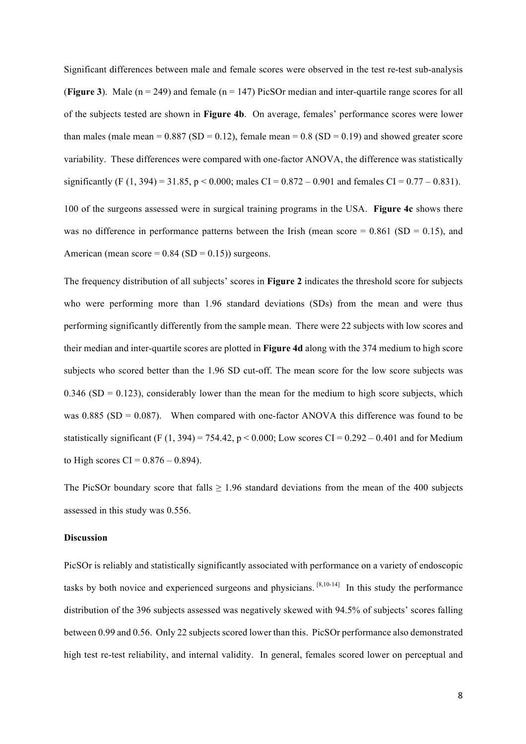Significant differences between male and female scores were observed in the test re-test sub-analysis (**Figure 3**). Male ( $n = 249$ ) and female ( $n = 147$ ) PicSOr median and inter-quartile range scores for all of the subjects tested are shown in **Figure 4b**. On average, females' performance scores were lower than males (male mean =  $0.887$  (SD =  $0.12$ ), female mean =  $0.8$  (SD =  $0.19$ ) and showed greater score variability. These differences were compared with one-factor ANOVA, the difference was statistically significantly (F (1, 394) = 31.85, p < 0.000; males CI = 0.872 – 0.901 and females CI = 0.77 – 0.831). 100 of the surgeons assessed were in surgical training programs in the USA. **Figure 4c** shows there was no difference in performance patterns between the Irish (mean score  $= 0.861$  (SD  $= 0.15$ ), and American (mean score =  $0.84$  (SD =  $0.15$ )) surgeons.

The frequency distribution of all subjects' scores in **Figure 2** indicates the threshold score for subjects who were performing more than 1.96 standard deviations (SDs) from the mean and were thus performing significantly differently from the sample mean. There were 22 subjects with low scores and their median and inter-quartile scores are plotted in **Figure 4d** along with the 374 medium to high score subjects who scored better than the 1.96 SD cut-off. The mean score for the low score subjects was  $0.346$  (SD = 0.123), considerably lower than the mean for the medium to high score subjects, which was  $0.885$  (SD = 0.087). When compared with one-factor ANOVA this difference was found to be statistically significant (F  $(1, 394) = 754.42$ ,  $p < 0.000$ ; Low scores CI = 0.292 – 0.401 and for Medium to High scores CI =  $0.876 - 0.894$ ).

The PicSOr boundary score that falls  $\geq 1.96$  standard deviations from the mean of the 400 subjects assessed in this study was 0.556.

## **Discussion**

PicSOr is reliably and statistically significantly associated with performance on a variety of endoscopic tasks by both novice and experienced surgeons and physicians. [8,10-14] In this study the performance distribution of the 396 subjects assessed was negatively skewed with 94.5% of subjects' scores falling between 0.99 and 0.56. Only 22 subjects scored lower than this. PicSOr performance also demonstrated high test re-test reliability, and internal validity. In general, females scored lower on perceptual and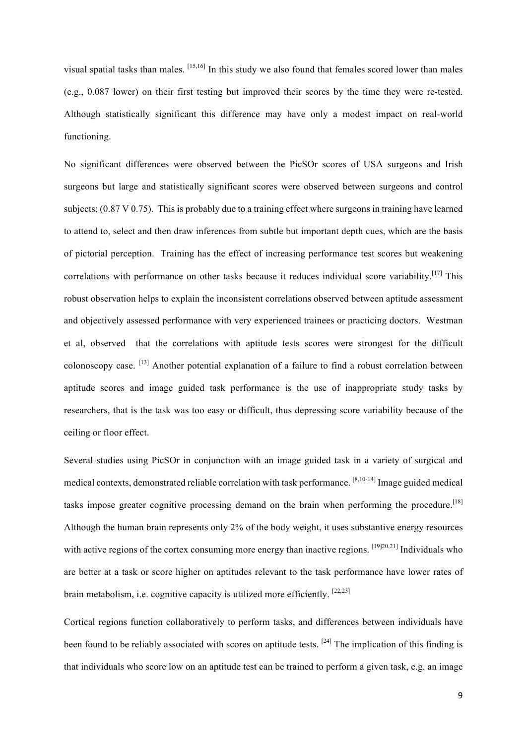visual spatial tasks than males. [15,16] In this study we also found that females scored lower than males (e.g., 0.087 lower) on their first testing but improved their scores by the time they were re-tested. Although statistically significant this difference may have only a modest impact on real-world functioning.

No significant differences were observed between the PicSOr scores of USA surgeons and Irish surgeons but large and statistically significant scores were observed between surgeons and control subjects; (0.87 V 0.75). This is probably due to a training effect where surgeons in training have learned to attend to, select and then draw inferences from subtle but important depth cues, which are the basis of pictorial perception. Training has the effect of increasing performance test scores but weakening correlations with performance on other tasks because it reduces individual score variability.<sup>[17]</sup> This robust observation helps to explain the inconsistent correlations observed between aptitude assessment and objectively assessed performance with very experienced trainees or practicing doctors. Westman et al, observed that the correlations with aptitude tests scores were strongest for the difficult colonoscopy case. [13] Another potential explanation of a failure to find a robust correlation between aptitude scores and image guided task performance is the use of inappropriate study tasks by researchers, that is the task was too easy or difficult, thus depressing score variability because of the ceiling or floor effect.

Several studies using PicSOr in conjunction with an image guided task in a variety of surgical and medical contexts, demonstrated reliable correlation with task performance. <sup>[8,10-14]</sup> Image guided medical tasks impose greater cognitive processing demand on the brain when performing the procedure.<sup>[18]</sup> Although the human brain represents only 2% of the body weight, it uses substantive energy resources with active regions of the cortex consuming more energy than inactive regions. [19][20,21] Individuals who are better at a task or score higher on aptitudes relevant to the task performance have lower rates of brain metabolism, i.e. cognitive capacity is utilized more efficiently.  $[22,23]$ 

Cortical regions function collaboratively to perform tasks, and differences between individuals have been found to be reliably associated with scores on aptitude tests.  $[24]$  The implication of this finding is that individuals who score low on an aptitude test can be trained to perform a given task, e.g. an image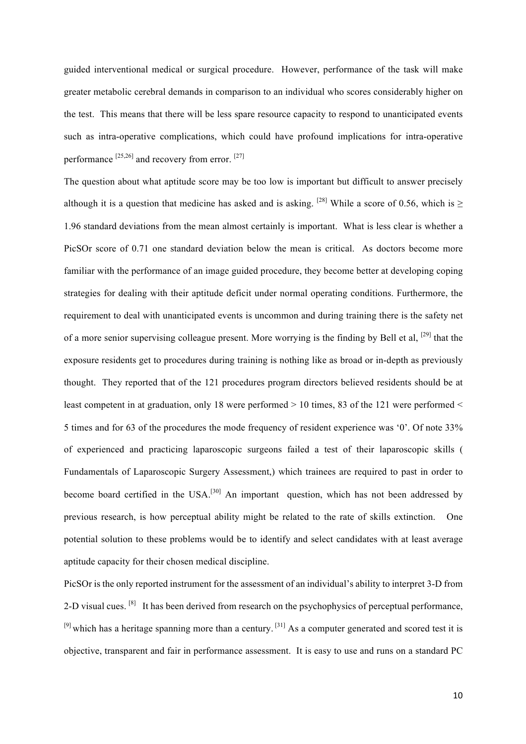guided interventional medical or surgical procedure. However, performance of the task will make greater metabolic cerebral demands in comparison to an individual who scores considerably higher on the test. This means that there will be less spare resource capacity to respond to unanticipated events such as intra-operative complications, which could have profound implications for intra-operative performance  $^{[25,26]}$  and recovery from error.  $^{[27]}$ 

The question about what aptitude score may be too low is important but difficult to answer precisely although it is a question that medicine has asked and is asking. [28] While a score of 0.56, which is  $\ge$ 1.96 standard deviations from the mean almost certainly is important. What is less clear is whether a PicSOr score of 0.71 one standard deviation below the mean is critical. As doctors become more familiar with the performance of an image guided procedure, they become better at developing coping strategies for dealing with their aptitude deficit under normal operating conditions. Furthermore, the requirement to deal with unanticipated events is uncommon and during training there is the safety net of a more senior supervising colleague present. More worrying is the finding by Bell et al, <sup>[29]</sup> that the exposure residents get to procedures during training is nothing like as broad or in-depth as previously thought. They reported that of the 121 procedures program directors believed residents should be at least competent in at graduation, only 18 were performed  $> 10$  times, 83 of the 121 were performed  $<$ 5 times and for 63 of the procedures the mode frequency of resident experience was '0'. Of note 33% of experienced and practicing laparoscopic surgeons failed a test of their laparoscopic skills ( Fundamentals of Laparoscopic Surgery Assessment,) which trainees are required to past in order to become board certified in the USA.<sup>[30]</sup> An important question, which has not been addressed by previous research, is how perceptual ability might be related to the rate of skills extinction. One potential solution to these problems would be to identify and select candidates with at least average aptitude capacity for their chosen medical discipline.

PicSOr is the only reported instrument for the assessment of an individual's ability to interpret 3-D from 2-D visual cues. <sup>[8]</sup> It has been derived from research on the psychophysics of perceptual performance,  $[9]$  which has a heritage spanning more than a century.  $[31]$  As a computer generated and scored test it is objective, transparent and fair in performance assessment. It is easy to use and runs on a standard PC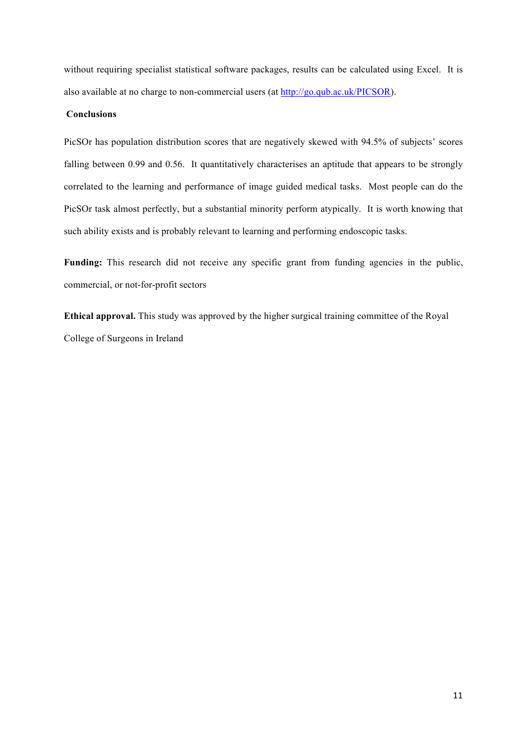without requiring specialist statistical software packages, results can be calculated using Excel. It is also available at no charge to non-commercial users (at http://go.qub.ac.uk/PICSOR).

## **Conclusions**

PicSOr has population distribution scores that are negatively skewed with 94.5% of subjects' scores falling between 0.99 and 0.56. It quantitatively characterises an aptitude that appears to be strongly correlated to the learning and performance of image guided medical tasks. Most people can do the PicSOr task almost perfectly, but a substantial minority perform atypically. It is worth knowing that such ability exists and is probably relevant to learning and performing endoscopic tasks.

Funding: This research did not receive any specific grant from funding agencies in the public, commercial, or not-for-profit sectors

**Ethical approval.** This study was approved by the higher surgical training committee of the Royal College of Surgeons in Ireland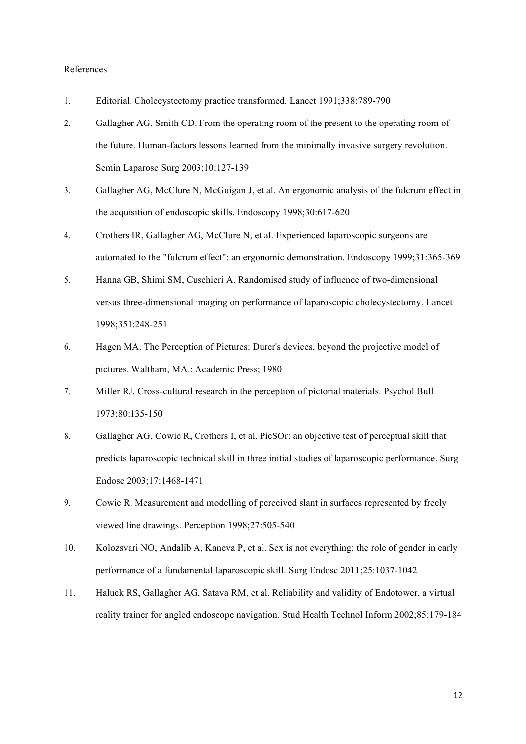#### References

- 1. Editorial. Cholecystectomy practice transformed. Lancet 1991;338:789-790
- 2. Gallagher AG, Smith CD. From the operating room of the present to the operating room of the future. Human-factors lessons learned from the minimally invasive surgery revolution. Semin Laparosc Surg 2003;10:127-139
- 3. Gallagher AG, McClure N, McGuigan J, et al. An ergonomic analysis of the fulcrum effect in the acquisition of endoscopic skills. Endoscopy 1998;30:617-620
- 4. Crothers IR, Gallagher AG, McClure N, et al. Experienced laparoscopic surgeons are automated to the "fulcrum effect": an ergonomic demonstration. Endoscopy 1999;31:365-369
- 5. Hanna GB, Shimi SM, Cuschieri A. Randomised study of influence of two-dimensional versus three-dimensional imaging on performance of laparoscopic cholecystectomy. Lancet 1998;351:248-251
- 6. Hagen MA. The Perception of Pictures: Durer's devices, beyond the projective model of pictures. Waltham, MA.: Academic Press; 1980
- 7. Miller RJ. Cross-cultural research in the perception of pictorial materials. Psychol Bull 1973;80:135-150
- 8. Gallagher AG, Cowie R, Crothers I, et al. PicSOr: an objective test of perceptual skill that predicts laparoscopic technical skill in three initial studies of laparoscopic performance. Surg Endosc 2003;17:1468-1471
- 9. Cowie R. Measurement and modelling of perceived slant in surfaces represented by freely viewed line drawings. Perception 1998;27:505-540
- 10. Kolozsvari NO, Andalib A, Kaneva P, et al. Sex is not everything: the role of gender in early performance of a fundamental laparoscopic skill. Surg Endosc 2011;25:1037-1042
- 11. Haluck RS, Gallagher AG, Satava RM, et al. Reliability and validity of Endotower, a virtual reality trainer for angled endoscope navigation. Stud Health Technol Inform 2002;85:179-184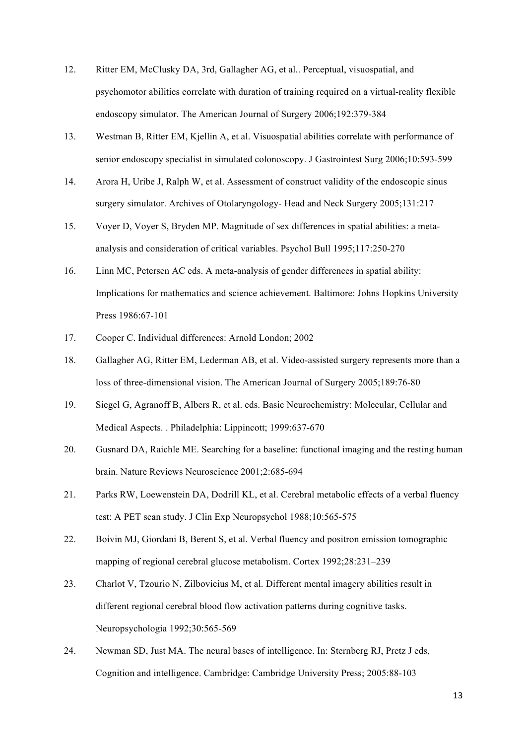- 12. Ritter EM, McClusky DA, 3rd, Gallagher AG, et al.. Perceptual, visuospatial, and psychomotor abilities correlate with duration of training required on a virtual-reality flexible endoscopy simulator. The American Journal of Surgery 2006;192:379-384
- 13. Westman B, Ritter EM, Kjellin A, et al. Visuospatial abilities correlate with performance of senior endoscopy specialist in simulated colonoscopy. J Gastrointest Surg 2006;10:593-599
- 14. Arora H, Uribe J, Ralph W, et al. Assessment of construct validity of the endoscopic sinus surgery simulator. Archives of Otolaryngology- Head and Neck Surgery 2005;131:217
- 15. Voyer D, Voyer S, Bryden MP. Magnitude of sex differences in spatial abilities: a metaanalysis and consideration of critical variables. Psychol Bull 1995;117:250-270
- 16. Linn MC, Petersen AC eds. A meta-analysis of gender differences in spatial ability: Implications for mathematics and science achievement. Baltimore: Johns Hopkins University Press 1986:67-101
- 17. Cooper C. Individual differences: Arnold London; 2002
- 18. Gallagher AG, Ritter EM, Lederman AB, et al. Video-assisted surgery represents more than a loss of three-dimensional vision. The American Journal of Surgery 2005;189:76-80
- 19. Siegel G, Agranoff B, Albers R, et al. eds. Basic Neurochemistry: Molecular, Cellular and Medical Aspects. . Philadelphia: Lippincott; 1999:637-670
- 20. Gusnard DA, Raichle ME. Searching for a baseline: functional imaging and the resting human brain. Nature Reviews Neuroscience 2001;2:685-694
- 21. Parks RW, Loewenstein DA, Dodrill KL, et al. Cerebral metabolic effects of a verbal fluency test: A PET scan study. J Clin Exp Neuropsychol 1988;10:565-575
- 22. Boivin MJ, Giordani B, Berent S, et al. Verbal fluency and positron emission tomographic mapping of regional cerebral glucose metabolism. Cortex 1992;28:231–239
- 23. Charlot V, Tzourio N, Zilbovicius M, et al. Different mental imagery abilities result in different regional cerebral blood flow activation patterns during cognitive tasks. Neuropsychologia 1992;30:565-569
- 24. Newman SD, Just MA. The neural bases of intelligence. In: Sternberg RJ, Pretz J eds, Cognition and intelligence. Cambridge: Cambridge University Press; 2005:88-103